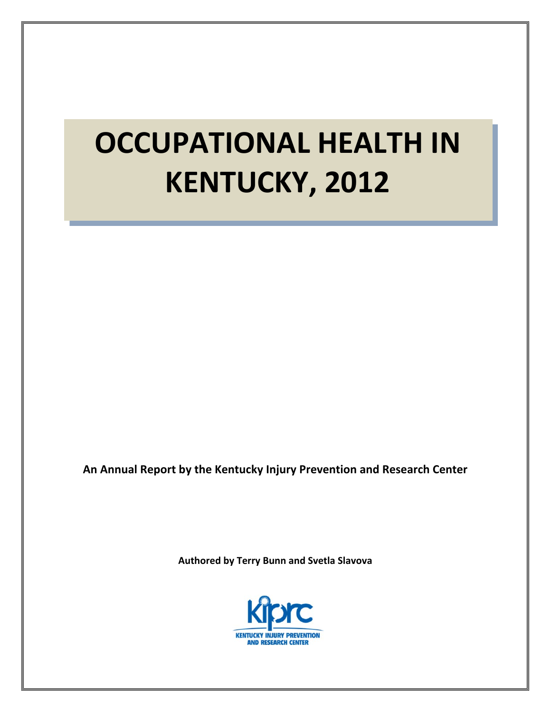# **OCCUPATIONAL HEALTH IN KENTUCKY, 2012**

**An Annual Report by the Kentucky Injury Prevention and Research Center**

**Authored by Terry Bunn and Svetla Slavova**

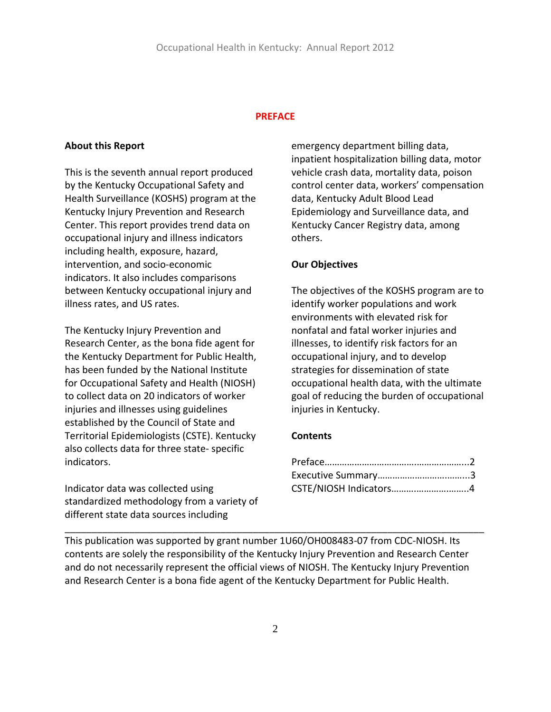#### **PREFACE**

#### **About this Report**

This is the seventh annual report produced by the Kentucky Occupational Safety and Health Surveillance (KOSHS) program at the Kentucky Injury Prevention and Research Center. This report provides trend data on occupational injury and illness indicators including health, exposure, hazard, intervention, and socio‐economic indicators. It also includes comparisons between Kentucky occupational injury and illness rates, and US rates.

The Kentucky Injury Prevention and Research Center, as the bona fide agent for the Kentucky Department for Public Health, has been funded by the National Institute for Occupational Safety and Health (NIOSH) to collect data on 20 indicators of worker injuries and illnesses using guidelines established by the Council of State and Territorial Epidemiologists (CSTE). Kentucky also collects data for three state‐ specific indicators.

Indicator data was collected using standardized methodology from a variety of different state data sources including

emergency department billing data, inpatient hospitalization billing data, motor vehicle crash data, mortality data, poison control center data, workers' compensation data, Kentucky Adult Blood Lead Epidemiology and Surveillance data, and Kentucky Cancer Registry data, among others.

#### **Our Objectives**

The objectives of the KOSHS program are to identify worker populations and work environments with elevated risk for nonfatal and fatal worker injuries and illnesses, to identify risk factors for an occupational injury, and to develop strategies for dissemination of state occupational health data, with the ultimate goal of reducing the burden of occupational injuries in Kentucky.

#### **Contents**

| CSTE/NIOSH Indicators4 |  |
|------------------------|--|

This publication was supported by grant number 1U60/OH008483-07 from CDC-NIOSH. Its contents are solely the responsibility of the Kentucky Injury Prevention and Research Center and do not necessarily represent the official views of NIOSH. The Kentucky Injury Prevention and Research Center is a bona fide agent of the Kentucky Department for Public Health.

\_\_\_\_\_\_\_\_\_\_\_\_\_\_\_\_\_\_\_\_\_\_\_\_\_\_\_\_\_\_\_\_\_\_\_\_\_\_\_\_\_\_\_\_\_\_\_\_\_\_\_\_\_\_\_\_\_\_\_\_\_\_\_\_\_\_\_\_\_\_\_\_\_\_\_\_\_\_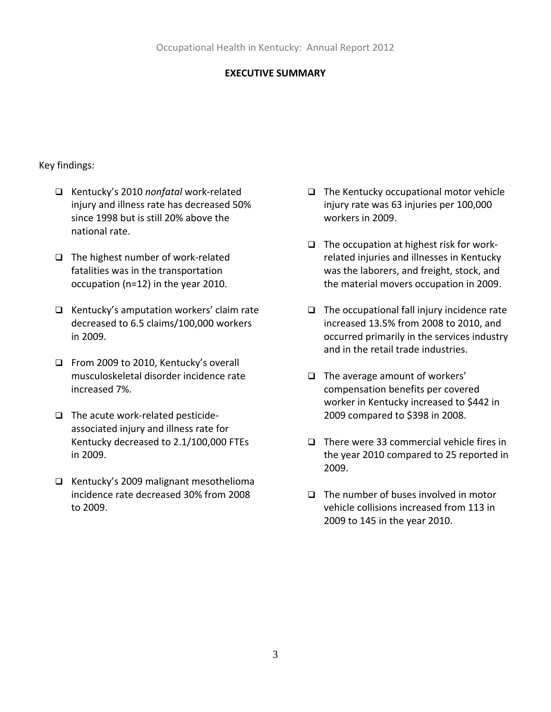## **EXECUTIVE SUMMARY**

## Key findings:

- Kentucky's 2010 *nonfatal* work‐related injury and illness rate has decreased 50% since 1998 but is still 20% above the national rate.
- The highest number of work‐related fatalities was in the transportation occupation (n=12) in the year 2010.
- $\Box$  Kentucky's amputation workers' claim rate decreased to 6.5 claims/100,000 workers in 2009.
- From 2009 to 2010, Kentucky's overall musculoskeletal disorder incidence rate increased 7%.
- □ The acute work-related pesticideassociated injury and illness rate for Kentucky decreased to 2.1/100,000 FTEs in 2009.
- $\Box$  Kentucky's 2009 malignant mesothelioma incidence rate decreased 30% from 2008 to 2009.
- $\Box$  The Kentucky occupational motor vehicle injury rate was 63 injuries per 100,000 workers in 2009.
- $\Box$  The occupation at highest risk for workrelated injuries and illnesses in Kentucky was the laborers, and freight, stock, and the material movers occupation in 2009.
- $\Box$  The occupational fall injury incidence rate increased 13.5% from 2008 to 2010, and occurred primarily in the services industry and in the retail trade industries.
- $\Box$  The average amount of workers' compensation benefits per covered worker in Kentucky increased to \$442 in 2009 compared to \$398 in 2008.
- $\Box$  There were 33 commercial vehicle fires in the year 2010 compared to 25 reported in 2009.
- $\Box$  The number of buses involved in motor vehicle collisions increased from 113 in 2009 to 145 in the year 2010.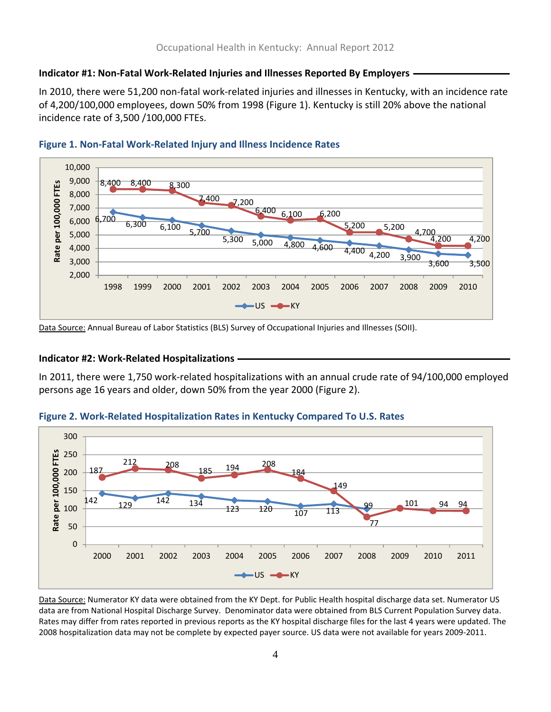# **Indicator #1: Non‐Fatal Work‐Related Injuries and Illnesses Reported By Employers**

In 2010, there were 51,200 non‐fatal work‐related injuries and illnesses in Kentucky, with an incidence rate of 4,200/100,000 employees, down 50% from 1998 (Figure 1). Kentucky is still 20% above the national incidence rate of 3,500 /100,000 FTEs.



## **Figure 1. Non‐Fatal Work‐Related Injury and Illness Incidence Rates**

Data Source: Annual Bureau of Labor Statistics (BLS) Survey of Occupational Injuries and Illnesses (SOII).

## **Indicator #2: Work‐Related Hospitalizations**

In 2011, there were 1,750 work‐related hospitalizations with an annual crude rate of 94/100,000 employed persons age 16 years and older, down 50% from the year 2000 (Figure 2).



#### **Figure 2. Work‐Related Hospitalization Rates in Kentucky Compared To U.S. Rates**

Data Source: Numerator KY data were obtained from the KY Dept. for Public Health hospital discharge data set. Numerator US data are from National Hospital Discharge Survey. Denominator data were obtained from BLS Current Population Survey data. Rates may differ from rates reported in previous reports as the KY hospital discharge files for the last 4 years were updated. The 2008 hospitalization data may not be complete by expected payer source. US data were not available for years 2009‐2011.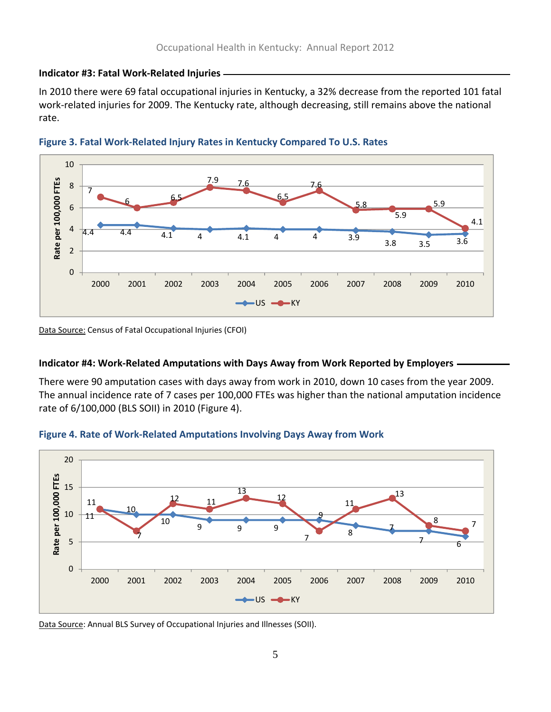#### **Indicator #3: Fatal Work‐Related Injuries**

In 2010 there were 69 fatal occupational injuries in Kentucky, a 32% decrease from the reported 101 fatal work‐related injuries for 2009. The Kentucky rate, although decreasing, still remains above the national rate.





Data Source: Census of Fatal Occupational Injuries (CFOI)

## **Indicator #4: Work‐Related Amputations with Days Away from Work Reported by Employers**

There were 90 amputation cases with days away from work in 2010, down 10 cases from the year 2009. The annual incidence rate of 7 cases per 100,000 FTEs was higher than the national amputation incidence rate of 6/100,000 (BLS SOII) in 2010 (Figure 4).





Data Source: Annual BLS Survey of Occupational Injuries and Illnesses (SOII).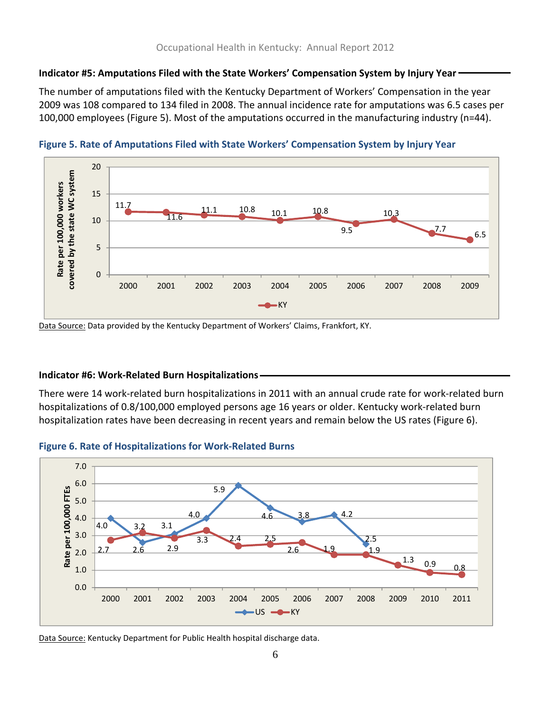# **Indicator #5: Amputations Filed with the State Workers' Compensation System by Injury Year**

The number of amputations filed with the Kentucky Department of Workers' Compensation in the year 2009 was 108 compared to 134 filed in 2008. The annual incidence rate for amputations was 6.5 cases per 100,000 employees (Figure 5). Most of the amputations occurred in the manufacturing industry (n=44).



**Figure 5. Rate of Amputations Filed with State Workers' Compensation System by Injury Year**

Data Source: Data provided by the Kentucky Department of Workers' Claims, Frankfort, KY.

## **Indicator #6: Work‐Related Burn Hospitalizations**

There were 14 work‐related burn hospitalizations in 2011 with an annual crude rate for work‐related burn hospitalizations of 0.8/100,000 employed persons age 16 years or older. Kentucky work-related burn hospitalization rates have been decreasing in recent years and remain below the US rates (Figure 6).





Data Source: Kentucky Department for Public Health hospital discharge data.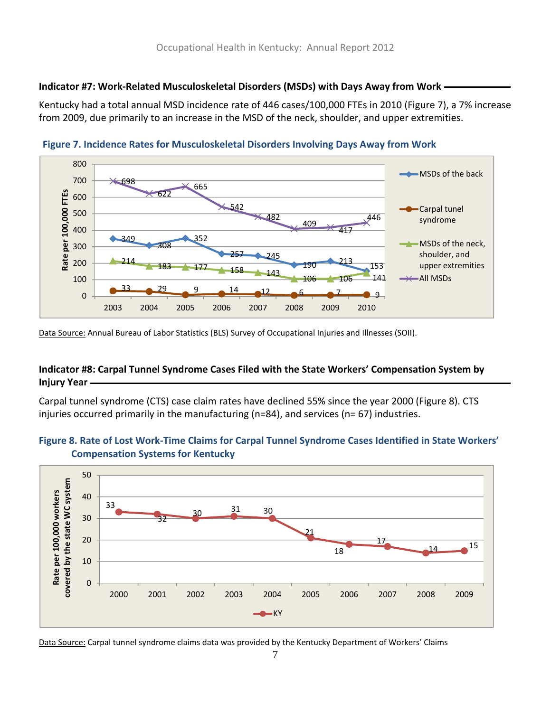# **Indicator #7: Work‐Related Musculoskeletal Disorders (MSDs) with Days Away from Work**

Kentucky had a total annual MSD incidence rate of 446 cases/100,000 FTEs in 2010 (Figure 7), a 7% increase from 2009, due primarily to an increase in the MSD of the neck, shoulder, and upper extremities.



**Figure 7. Incidence Rates for Musculoskeletal Disorders Involving Days Away from Work** 

Data Source: Annual Bureau of Labor Statistics (BLS) Survey of Occupational Injuries and Illnesses (SOII).

# **Indicator #8: Carpal Tunnel Syndrome Cases Filed with the State Workers' Compensation System by Injury Year**

Carpal tunnel syndrome (CTS) case claim rates have declined 55% since the year 2000 (Figure 8). CTS injuries occurred primarily in the manufacturing (n=84), and services (n= 67) industries.

# Figure 8. Rate of Lost Work-Time Claims for Carpal Tunnel Syndrome Cases Identified in State Workers' **Compensation Systems for Kentucky**



Data Source: Carpal tunnel syndrome claims data was provided by the Kentucky Department of Workers' Claims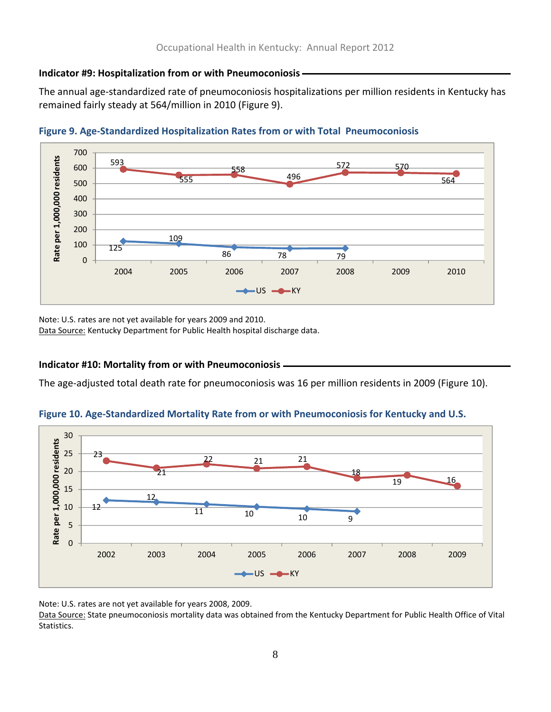#### **Indicator #9: Hospitalization from or with Pneumoconiosis**

The annual age‐standardized rate of pneumoconiosis hospitalizations per million residents in Kentucky has remained fairly steady at 564/million in 2010 (Figure 9).





Note: U.S. rates are not yet available for years 2009 and 2010.

Data Source: Kentucky Department for Public Health hospital discharge data.

## **Indicator #10: Mortality from or with Pneumoconiosis**

The age-adjusted total death rate for pneumoconiosis was 16 per million residents in 2009 (Figure 10).

## **Figure 10. Age‐Standardized Mortality Rate from or with Pneumoconiosis for Kentucky and U.S.**



Note: U.S. rates are not yet available for years 2008, 2009.

Data Source: State pneumoconiosis mortality data was obtained from the Kentucky Department for Public Health Office of Vital Statistics.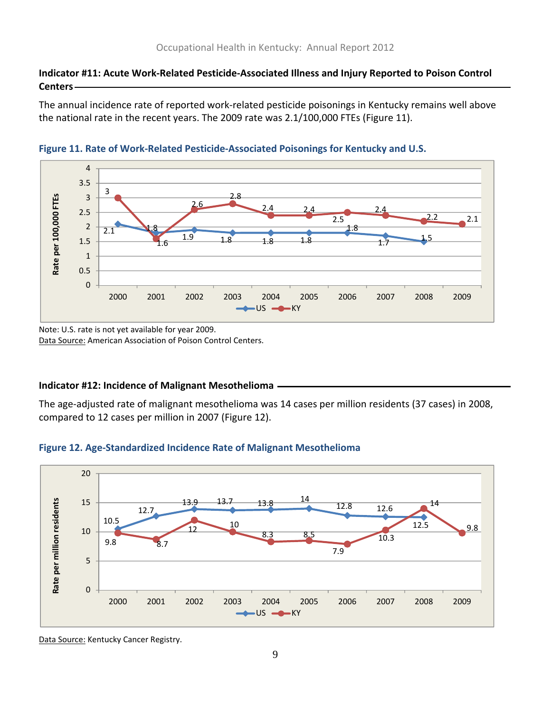## **Indicator #11: Acute Work‐Related Pesticide‐Associated Illness and Injury Reported to Poison Control Centers**

The annual incidence rate of reported work‐related pesticide poisonings in Kentucky remains well above the national rate in the recent years. The 2009 rate was 2.1/100,000 FTEs (Figure 11).





Note: U.S. rate is not yet available for year 2009. Data Source: American Association of Poison Control Centers.

#### **Indicator #12: Incidence of Malignant Mesothelioma**

The age‐adjusted rate of malignant mesothelioma was 14 cases per million residents (37 cases) in 2008, compared to 12 cases per million in 2007 (Figure 12).





Data Source: Kentucky Cancer Registry.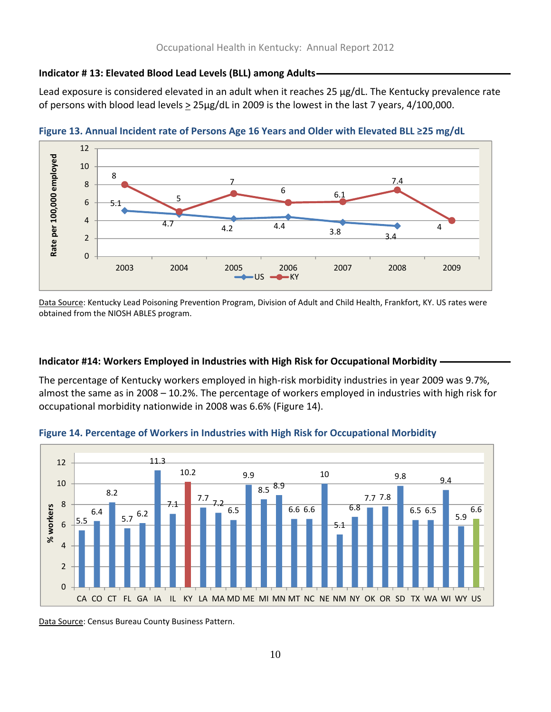#### **Indicator # 13: Elevated Blood Lead Levels (BLL) among Adults**

Lead exposure is considered elevated in an adult when it reaches 25 µg/dL. The Kentucky prevalence rate of persons with blood lead levels  $\geq 25 \mu g/dL$  in 2009 is the lowest in the last 7 years, 4/100,000.



**Figure 13. Annual Incident rate of Persons Age 16 Years and Older with Elevated BLL ≥25 mg/dL**

Data Source: Kentucky Lead Poisoning Prevention Program, Division of Adult and Child Health, Frankfort, KY. US rates were obtained from the NIOSH ABLES program.

#### **Indicator #14: Workers Employed in Industries with High Risk for Occupational Morbidity**

The percentage of Kentucky workers employed in high‐risk morbidity industries in year 2009 was 9.7%, almost the same as in 2008 – 10.2%. The percentage of workers employed in industries with high risk for occupational morbidity nationwide in 2008 was 6.6% (Figure 14).



**Figure 14. Percentage of Workers in Industries with High Risk for Occupational Morbidity**

Data Source: Census Bureau County Business Pattern.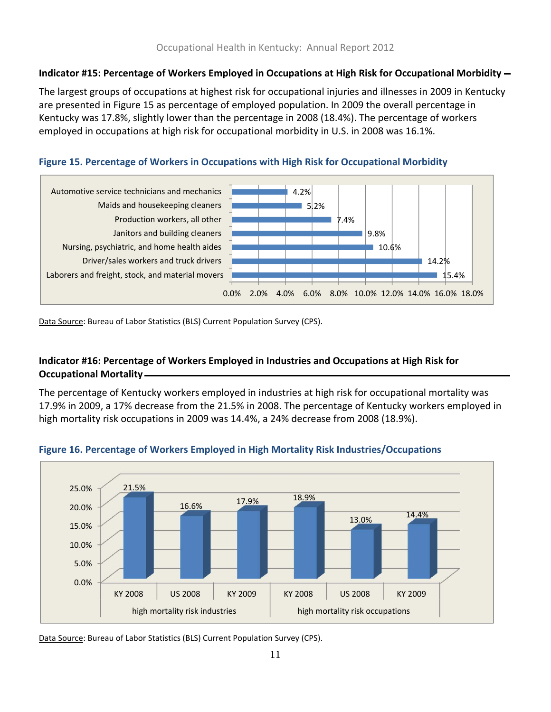# **Indicator #15: Percentage of Workers Employed in Occupations at High Risk for Occupational Morbidity**

The largest groups of occupations at highest risk for occupational injuries and illnesses in 2009 in Kentucky are presented in Figure 15 as percentage of employed population. In 2009 the overall percentage in Kentucky was 17.8%, slightly lower than the percentage in 2008 (18.4%). The percentage of workers employed in occupations at high risk for occupational morbidity in U.S. in 2008 was 16.1%.





Data Source: Bureau of Labor Statistics (BLS) Current Population Survey (CPS).

# **Indicator #16: Percentage of Workers Employed in Industries and Occupations at High Risk for Occupational Mortality**

The percentage of Kentucky workers employed in industries at high risk for occupational mortality was 17.9% in 2009, a 17% decrease from the 21.5% in 2008. The percentage of Kentucky workers employed in high mortality risk occupations in 2009 was 14.4%, a 24% decrease from 2008 (18.9%).



#### **Figure 16. Percentage of Workers Employed in High Mortality Risk Industries/Occupations**

Data Source: Bureau of Labor Statistics (BLS) Current Population Survey (CPS).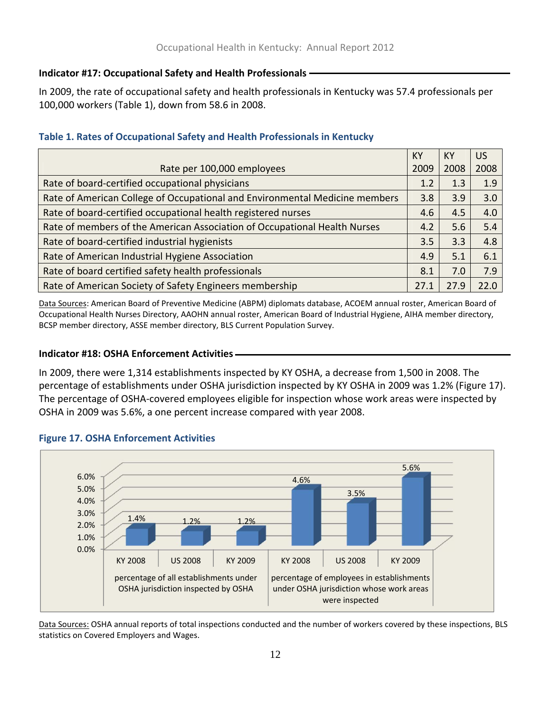# **Indicator #17: Occupational Safety and Health Professionals**

In 2009, the rate of occupational safety and health professionals in Kentucky was 57.4 professionals per 100,000 workers (Table 1), down from 58.6 in 2008.

# **Table 1. Rates of Occupational Safety and Health Professionals in Kentucky**

|                                                                             | KY   | <b>KY</b> | <b>US</b> |
|-----------------------------------------------------------------------------|------|-----------|-----------|
| Rate per 100,000 employees                                                  | 2009 | 2008      | 2008      |
| Rate of board-certified occupational physicians                             | 1.2  | 1.3       | 1.9       |
| Rate of American College of Occupational and Environmental Medicine members | 3.8  | 3.9       | 3.0       |
| Rate of board-certified occupational health registered nurses               | 4.6  | 4.5       | 4.0       |
| Rate of members of the American Association of Occupational Health Nurses   | 4.2  | 5.6       | 5.4       |
| Rate of board-certified industrial hygienists                               | 3.5  | 3.3       | 4.8       |
| Rate of American Industrial Hygiene Association                             | 4.9  | 5.1       | 6.1       |
| Rate of board certified safety health professionals                         | 8.1  | 7.0       | 7.9       |
| Rate of American Society of Safety Engineers membership                     | 27.1 | 27.9      | 22.0      |

Data Sources: American Board of Preventive Medicine (ABPM) diplomats database, ACOEM annual roster, American Board of Occupational Health Nurses Directory, AAOHN annual roster, American Board of Industrial Hygiene, AIHA member directory, BCSP member directory, ASSE member directory, BLS Current Population Survey.

# **Indicator #18: OSHA Enforcement Activities**

In 2009, there were 1,314 establishments inspected by KY OSHA, a decrease from 1,500 in 2008. The percentage of establishments under OSHA jurisdiction inspected by KY OSHA in 2009 was 1.2% (Figure 17). The percentage of OSHA‐covered employees eligible for inspection whose work areas were inspected by OSHA in 2009 was 5.6%, a one percent increase compared with year 2008.



# **Figure 17. OSHA Enforcement Activities**

Data Sources: OSHA annual reports of total inspections conducted and the number of workers covered by these inspections, BLS statistics on Covered Employers and Wages.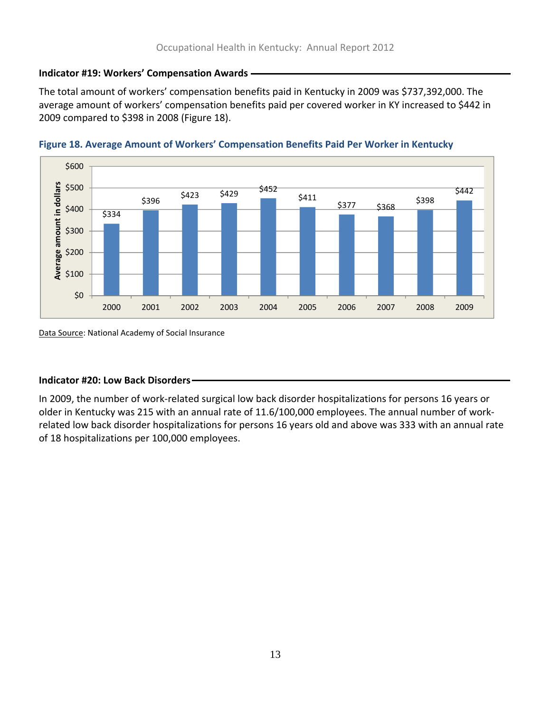# **Indicator #19: Workers' Compensation Awards**

The total amount of workers' compensation benefits paid in Kentucky in 2009 was \$737,392,000. The average amount of workers' compensation benefits paid per covered worker in KY increased to \$442 in 2009 compared to \$398 in 2008 (Figure 18).





Data Source: National Academy of Social Insurance

# **Indicator #20: Low Back Disorders**

In 2009, the number of work‐related surgical low back disorder hospitalizations for persons 16 years or older in Kentucky was 215 with an annual rate of 11.6/100,000 employees. The annual number of work‐ related low back disorder hospitalizations for persons 16 years old and above was 333 with an annual rate of 18 hospitalizations per 100,000 employees.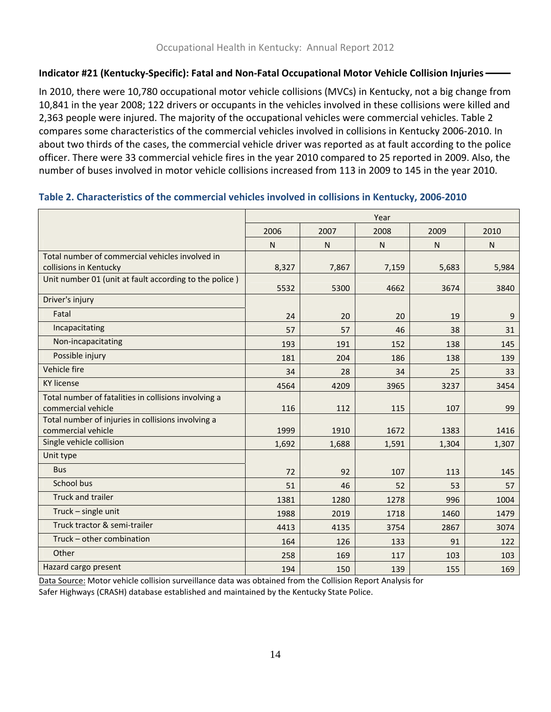# **Indicator #21 (Kentucky‐Specific): Fatal and Non‐Fatal Occupational Motor Vehicle Collision Injuries**

In 2010, there were 10,780 occupational motor vehicle collisions (MVCs) in Kentucky, not a big change from 10,841 in the year 2008; 122 drivers or occupants in the vehicles involved in these collisions were killed and 2,363 people were injured. The majority of the occupational vehicles were commercial vehicles. Table 2 compares some characteristics of the commercial vehicles involved in collisions in Kentucky 2006‐2010. In about two thirds of the cases, the commercial vehicle driver was reported as at fault according to the police officer. There were 33 commercial vehicle fires in the year 2010 compared to 25 reported in 2009. Also, the number of buses involved in motor vehicle collisions increased from 113 in 2009 to 145 in the year 2010.

|                                                                           | Year      |           |           |           |           |
|---------------------------------------------------------------------------|-----------|-----------|-----------|-----------|-----------|
|                                                                           | 2006      | 2007      | 2008      | 2009      | 2010      |
|                                                                           | ${\sf N}$ | ${\sf N}$ | ${\sf N}$ | ${\sf N}$ | ${\sf N}$ |
| Total number of commercial vehicles involved in<br>collisions in Kentucky | 8,327     | 7,867     | 7,159     | 5,683     | 5,984     |
| Unit number 01 (unit at fault according to the police)                    | 5532      | 5300      | 4662      | 3674      | 3840      |
| Driver's injury                                                           |           |           |           |           |           |
| Fatal                                                                     | 24        | 20        | 20        | 19        | 9         |
| Incapacitating                                                            | 57        | 57        | 46        | 38        | 31        |
| Non-incapacitating                                                        | 193       | 191       | 152       | 138       | 145       |
| Possible injury                                                           | 181       | 204       | 186       | 138       | 139       |
| Vehicle fire                                                              | 34        | 28        | 34        | 25        | 33        |
| <b>KY license</b>                                                         | 4564      | 4209      | 3965      | 3237      | 3454      |
| Total number of fatalities in collisions involving a                      |           |           |           |           |           |
| commercial vehicle                                                        | 116       | 112       | 115       | 107       | 99        |
| Total number of injuries in collisions involving a                        |           |           |           |           |           |
| commercial vehicle                                                        | 1999      | 1910      | 1672      | 1383      | 1416      |
| Single vehicle collision                                                  | 1,692     | 1,688     | 1,591     | 1,304     | 1,307     |
| Unit type                                                                 |           |           |           |           |           |
| <b>Bus</b>                                                                | 72        | 92        | 107       | 113       | 145       |
| School bus                                                                | 51        | 46        | 52        | 53        | 57        |
| <b>Truck and trailer</b>                                                  | 1381      | 1280      | 1278      | 996       | 1004      |
| Truck - single unit                                                       | 1988      | 2019      | 1718      | 1460      | 1479      |
| Truck tractor & semi-trailer                                              | 4413      | 4135      | 3754      | 2867      | 3074      |
| Truck - other combination                                                 | 164       | 126       | 133       | 91        | 122       |
| Other                                                                     | 258       | 169       | 117       | 103       | 103       |
| Hazard cargo present                                                      | 194       | 150       | 139       | 155       | 169       |

#### **Table 2. Characteristics of the commercial vehicles involved in collisions in Kentucky, 2006‐2010**

Data Source: Motor vehicle collision surveillance data was obtained from the Collision Report Analysis for Safer Highways (CRASH) database established and maintained by the Kentucky State Police.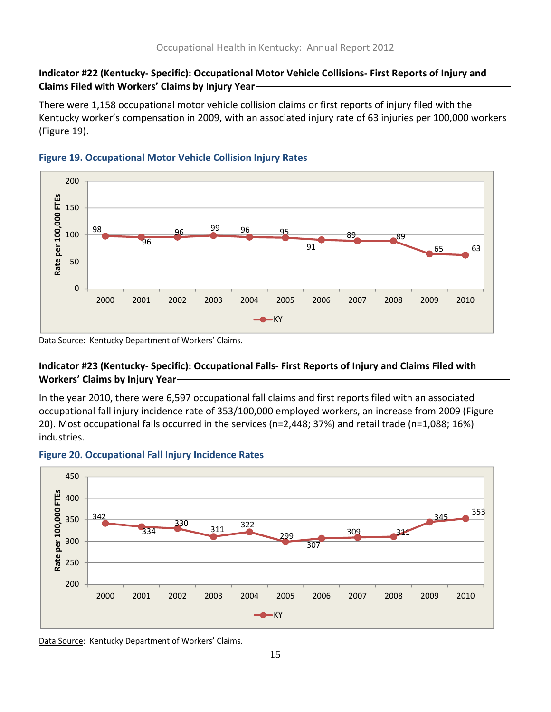# **Indicator #22 (Kentucky‐ Specific): Occupational Motor Vehicle Collisions‐ First Reports of Injury and Claims Filed with Workers' Claims by Injury Year**

There were 1,158 occupational motor vehicle collision claims or first reports of injury filed with the Kentucky worker's compensation in 2009, with an associated injury rate of 63 injuries per 100,000 workers (Figure 19).



# **Figure 19. Occupational Motor Vehicle Collision Injury Rates**

Data Source: Kentucky Department of Workers' Claims.

# **Indicator #23 (Kentucky‐ Specific): Occupational Falls‐ First Reports of Injury and Claims Filed with Workers' Claims by Injury Year**

In the year 2010, there were 6,597 occupational fall claims and first reports filed with an associated occupational fall injury incidence rate of 353/100,000 employed workers, an increase from 2009 (Figure 20). Most occupational falls occurred in the services (n=2,448; 37%) and retail trade (n=1,088; 16%) industries.



## **Figure 20. Occupational Fall Injury Incidence Rates**

Data Source: Kentucky Department of Workers' Claims.